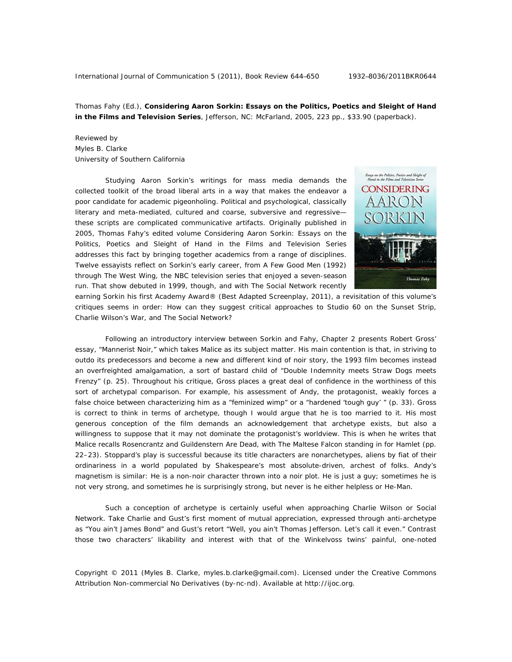Thomas Fahy (Ed.), **Considering Aaron Sorkin: Essays on the Politics, Poetics and Sleight of Hand in the Films and Television Series**, Jefferson, NC: McFarland, 2005, 223 pp., \$33.90 (paperback).

## Reviewed by Myles B. Clarke University of Southern California

Studying Aaron Sorkin's writings for mass media demands the collected toolkit of the broad liberal arts in a way that makes the endeavor a poor candidate for academic pigeonholing. Political and psychological, classically literary and meta-mediated, cultured and coarse, subversive and regressive these scripts are complicated communicative artifacts. Originally published in 2005, Thomas Fahy's edited volume *Considering Aaron Sorkin: Essays on the Politics, Poetics and Sleight of Hand in the Films and Television Series* addresses this fact by bringing together academics from a range of disciplines. Twelve essayists reflect on Sorkin's early career, from *A Few Good Men* (1992) through *The West Wing*, the NBC television series that enjoyed a seven-season run. That show debuted in 1999, though, and with *The Social Network* recently



earning Sorkin his first Academy Award® (Best Adapted Screenplay, 2011), a revisitation of this volume's critiques seems in order: How can they suggest critical approaches to *Studio 60 on the Sunset Strip*, *Charlie Wilson's War*, and *The Social Network*?

Following an introductory interview between Sorkin and Fahy, Chapter 2 presents Robert Gross' essay, "Mannerist Noir," which takes *Malice* as its subject matter. His main contention is that, in striving to outdo its predecessors and become a new and different kind of noir story, the 1993 film becomes instead an overfreighted amalgamation, a sort of bastard child of "*Double Indemnity* meets *Straw Dogs* meets *Frenzy*" (p. 25). Throughout his critique, Gross places a great deal of confidence in the worthiness of this sort of archetypal comparison. For example, his assessment of Andy, the protagonist, weakly forces a false choice between characterizing him as a "feminized wimp" or a "hardened 'tough guy' " (p. 33). Gross is correct to think in terms of archetype, though I would argue that he is too married to it. His most generous conception of the film demands an acknowledgement that archetype exists, but also a willingness to suppose that it may not dominate the protagonist's worldview. This is when he writes that *Malice* recalls *Rosencrantz and Guildenstern Are Dead*, with *The Maltese Falcon* standing in for *Hamlet* (pp. 22–23). Stoppard's play is successful because its title characters are nonarchetypes, aliens by fiat of their ordinariness in a world populated by Shakespeare's most absolute-driven, archest of folks. Andy's magnetism is similar: He is a non-noir character thrown into a noir plot. He is just a guy; sometimes he is not very strong, and sometimes he is surprisingly strong, but never is he either helpless or He-Man.

Such a conception of archetype is certainly useful when approaching *Charlie Wilson* or *Social Network*. Take Charlie and Gust's first moment of mutual appreciation, expressed through anti-archetype as "You ain't James Bond" and Gust's retort "Well, you ain't Thomas Jefferson. Let's call it even." Contrast those two characters' likability and interest with that of the Winkelvoss twins' painful, one-noted

Copyright © 2011 (Myles B. Clarke, myles.b.clarke@gmail.com). Licensed under the Creative Commons Attribution Non-commercial No Derivatives (by-nc-nd). Available at http://ijoc.org.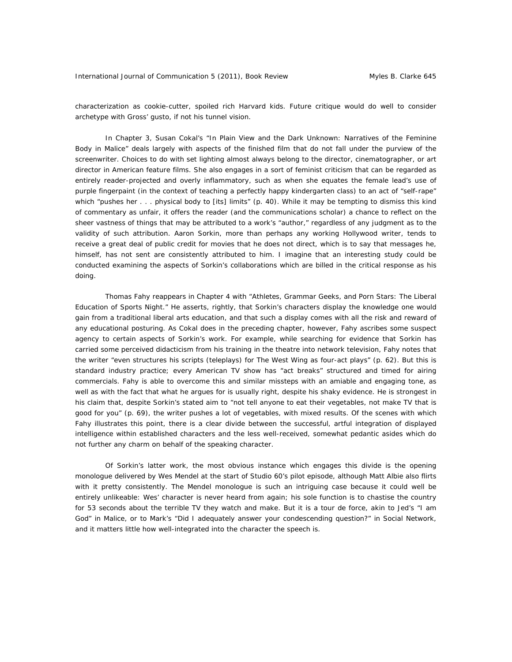characterization as cookie-cutter, spoiled rich Harvard kids. Future critique would do well to consider archetype with Gross' gusto, if not his tunnel vision.

In Chapter 3, Susan Cokal's "In Plain View and the Dark Unknown: Narratives of the Feminine Body in *Malice*" deals largely with aspects of the finished film that do not fall under the purview of the screenwriter. Choices to do with set lighting almost always belong to the director, cinematographer, or art director in American feature films. She also engages in a sort of feminist criticism that can be regarded as entirely reader-projected and overly inflammatory, such as when she equates the female lead's use of purple fingerpaint (in the context of teaching a perfectly happy kindergarten class) to an act of "self-rape" which "pushes her . . . physical body to [its] limits" (p. 40). While it may be tempting to dismiss this kind of commentary as unfair, it offers the reader (and the communications scholar) a chance to reflect on the sheer vastness of things that may be attributed to a work's "author," regardless of any judgment as to the validity of such attribution. Aaron Sorkin, more than perhaps any working Hollywood writer, tends to receive a great deal of public credit for movies that he does not direct, which is to say that messages he, himself, has not sent are consistently attributed to him. I imagine that an interesting study could be conducted examining the aspects of Sorkin's collaborations which are billed in the critical response as his doing.

Thomas Fahy reappears in Chapter 4 with "Athletes, Grammar Geeks, and Porn Stars: The Liberal Education of *Sports Night*." He asserts, rightly, that Sorkin's characters display the knowledge one would gain from a traditional liberal arts education, and that such a display comes with all the risk and reward of any educational posturing. As Cokal does in the preceding chapter, however, Fahy ascribes some suspect agency to certain aspects of Sorkin's work. For example, while searching for evidence that Sorkin has carried some perceived didacticism from his training in the theatre into network television, Fahy notes that the writer "even structures his scripts (teleplays) for *The West Wing* as four-act plays" (p. 62). But this is standard industry practice; every American TV show has "act breaks" structured and timed for airing commercials. Fahy is able to overcome this and similar missteps with an amiable and engaging tone, as well as with the fact that what he argues for is usually right, despite his shaky evidence. He is strongest in his claim that, despite Sorkin's stated aim to "not tell anyone to eat their vegetables, not make TV that is good for you" (p. 69), the writer pushes a lot of vegetables, with mixed results. Of the scenes with which Fahy illustrates this point, there is a clear divide between the successful, artful integration of displayed intelligence within established characters and the less well-received, somewhat pedantic asides which do not further any charm on behalf of the speaking character.

Of Sorkin's latter work, the most obvious instance which engages this divide is the opening monologue delivered by Wes Mendel at the start of *Studio 60*'s pilot episode, although Matt Albie also flirts with it pretty consistently. The Mendel monologue is such an intriguing case because it could well be entirely unlikeable: Wes' character is never heard from again; his sole function is to chastise the country for 53 seconds about the terrible TV they watch and make. But it is a tour de force, akin to Jed's "I *am*  God" in *Malice*, or to Mark's "Did I adequately answer your condescending question?" in *Social Network*, and it matters little how well-integrated into the character the speech is.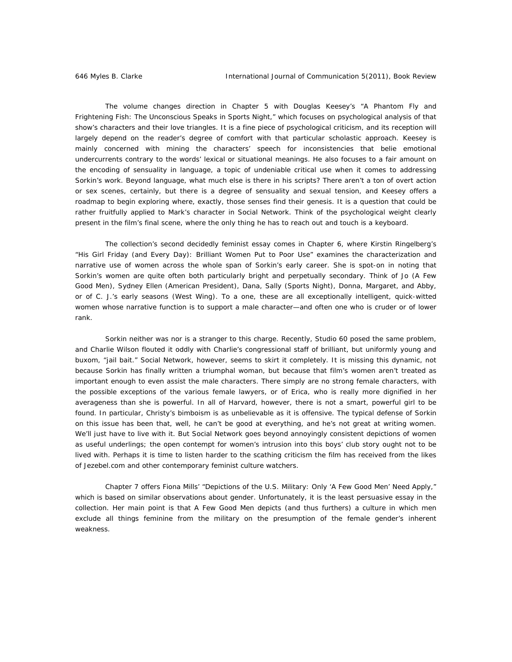The volume changes direction in Chapter 5 with Douglas Keesey's "A Phantom Fly and Frightening Fish: The Unconscious Speaks in *Sports Night,*" which focuses on psychological analysis of that show's characters and their love triangles. It is a fine piece of psychological criticism, and its reception will largely depend on the reader's degree of comfort with that particular scholastic approach. Keesey is mainly concerned with mining the characters' speech for inconsistencies that belie emotional undercurrents contrary to the words' lexical or situational meanings. He also focuses to a fair amount on the encoding of sensuality in language, a topic of undeniable critical use when it comes to addressing Sorkin's work. Beyond language, what much else is there in his scripts? There aren't a ton of overt action or sex scenes, certainly, but there is a degree of sensuality and sexual tension, and Keesey offers a roadmap to begin exploring where, exactly, those senses find their genesis. It is a question that could be rather fruitfully applied to Mark's character in *Social Network*. Think of the psychological weight clearly present in the film's final scene, where the only thing he has to reach out and touch is a keyboard.

The collection's second decidedly feminist essay comes in Chapter 6, where Kirstin Ringelberg's "His Girl Friday (and Every Day): Brilliant Women Put to Poor Use" examines the characterization and narrative use of women across the whole span of Sorkin's early career. She is spot-on in noting that Sorkin's women are quite often both particularly bright and perpetually secondary. Think of Jo (*A Few Good Men*), Sydney Ellen (*American President*), Dana, Sally (*Sports Night*), Donna, Margaret, and Abby, or of C. J.'s early seasons (*West Wing*). To a one, these are all exceptionally intelligent, quick-witted women whose narrative function is to support a male character—and often one who is cruder or of lower rank.

Sorkin neither was nor is a stranger to this charge. Recently, *Studio 60* posed the same problem, and *Charlie Wilson* flouted it oddly with Charlie's congressional staff of brilliant, but uniformly young and buxom, "jail bait." *Social Network*, however, seems to skirt it completely. It is missing this dynamic, not because Sorkin has finally written a triumphal woman, but because that film's women aren't treated as important enough to even assist the male characters. There simply are no strong female characters, with the possible exceptions of the various female lawyers, or of Erica, who is really more dignified in her averageness than she is powerful. In all of Harvard, however, there is not a smart, powerful girl to be found. In particular, Christy's bimboism is as unbelievable as it is offensive. The typical defense of Sorkin on this issue has been that, well, he can't be good at everything, and he's not great at writing women. We'll just have to live with it. But *Social Network* goes beyond annoyingly consistent depictions of women as useful underlings; the open contempt for women's intrusion into this boys' club story ought not to be lived with. Perhaps it is time to listen harder to the scathing criticism the film has received from the likes of Jezebel.com and other contemporary feminist culture watchers.

Chapter 7 offers Fiona Mills' "Depictions of the U.S. Military: Only 'A Few Good Men' Need Apply," which is based on similar observations about gender. Unfortunately, it is the least persuasive essay in the collection. Her main point is that *A Few Good Men* depicts (and thus furthers) a culture in which men exclude all things feminine from the military on the presumption of the female gender's inherent weakness.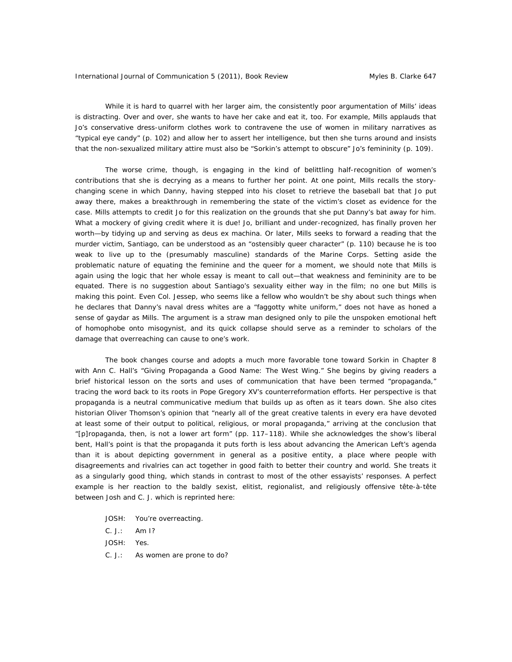While it is hard to quarrel with her larger aim, the consistently poor argumentation of Mills' ideas is distracting. Over and over, she wants to have her cake and eat it, too. For example, Mills applauds that Jo's conservative dress-uniform clothes work to contravene the use of women in military narratives as "typical eye candy" (p. 102) and allow her to assert her intelligence, but then she turns around and insists that the non-sexualized military attire must also be "Sorkin's attempt to obscure" Jo's femininity (p. 109).

The worse crime, though, is engaging in the kind of belittling half-recognition of women's contributions that she is decrying as a means to further her point. At one point, Mills recalls the storychanging scene in which Danny, having stepped into his closet to retrieve the baseball bat that Jo put away there, makes a breakthrough in remembering the state of the victim's closet as evidence for the case. Mills attempts to credit Jo for this realization on the grounds that she put Danny's bat away for him. What a mockery of giving credit where it is due! Jo, brilliant and under-recognized, has finally proven her worth—by tidying up and serving as deus ex machina. Or later, Mills seeks to forward a reading that the murder victim, Santiago, can be understood as an "ostensibly queer character" (p. 110) because he is too weak to live up to the (presumably masculine) standards of the Marine Corps. Setting aside the problematic nature of equating the feminine and the queer for a moment, we should note that Mills is again using the logic that her whole essay is meant to call out—that weakness and femininity are to be equated. There is no suggestion about Santiago's sexuality either way in the film; no one but Mills is making this point. Even Col. Jessep, who seems like a fellow who wouldn't be shy about such things when he declares that Danny's naval dress whites are a "faggotty white uniform," does not have as honed a sense of gaydar as Mills. The argument is a straw man designed only to pile the unspoken emotional heft of *homophobe* onto *misogynist*, and its quick collapse should serve as a reminder to scholars of the damage that overreaching can cause to one's work.

The book changes course and adopts a much more favorable tone toward Sorkin in Chapter 8 with Ann C. Hall's "Giving Propaganda a Good Name: *The West Wing*." She begins by giving readers a brief historical lesson on the sorts and uses of communication that have been termed "propaganda," tracing the word back to its roots in Pope Gregory XV's counterreformation efforts. Her perspective is that propaganda is a neutral communicative medium that builds up as often as it tears down. She also cites historian Oliver Thomson's opinion that "nearly all of the great creative talents in every era have devoted at least some of their output to political, religious, or moral propaganda," arriving at the conclusion that "[p]ropaganda, then, is not a lower art form" (pp. 117–118). While she acknowledges the show's liberal bent, Hall's point is that the propaganda it puts forth is less about advancing the American Left's agenda than it is about depicting government in general as a positive entity, a place where people with disagreements and rivalries can act together in good faith to better their country and world. She treats it as a singularly good thing, which stands in contrast to most of the other essayists' responses. A perfect example is her reaction to the baldly sexist, elitist, regionalist, and religiously offensive tête-à-tête between Josh and C. J. which is reprinted here:

JOSH: You're overreacting.

C. J.: Am I?

JOSH: Yes.

C. J.: As women are prone to do?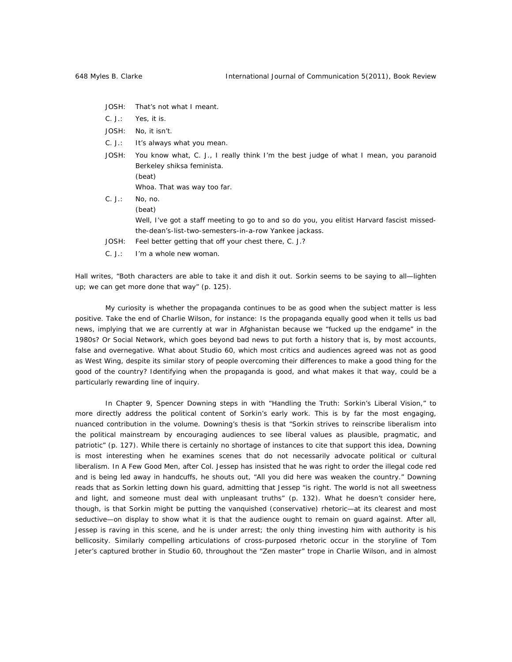- JOSH: That's not what I meant.
- C. J.: Yes, it is.
- JOSH: No, it isn't.
- C. J.: It's always what you mean.
- JOSH: You know what, C. J., I really think I'm the best judge of what I mean, you paranoid Berkeley shiksa feminista. (beat) Whoa. That was *way* too far. C. J.: No, no.
- (beat) Well, I've got a staff meeting to go to and so do you, you elitist Harvard fascist missedthe-dean's-list-two-semesters-in-a-row Yankee jackass. JOSH: Feel better getting that off your chest there, C. J.?
- C. J.: I'm a whole new woman.

Hall writes, "Both characters are able to take it and dish it out. Sorkin seems to be saying to all—lighten up; we can get more done that way" (p. 125).

My curiosity is whether the propaganda continues to be as good when the subject matter is less positive. Take the end of *Charlie Wilson*, for instance: Is the propaganda equally good when it tells us bad news, implying that we are currently at war in Afghanistan because we "fucked up the endgame" in the 1980s? Or *Social Network*, which goes beyond bad news to put forth a history that is, by most accounts, false and overnegative. What about *Studio 60*, which most critics and audiences agreed was not as good as *West Wing*, despite its similar story of people overcoming their differences to make a good thing for the good of the country? Identifying when the propaganda is good, and what makes it that way, could be a particularly rewarding line of inquiry.

In Chapter 9, Spencer Downing steps in with "Handling the Truth: Sorkin's Liberal Vision," to more directly address the political content of Sorkin's early work. This is by far the most engaging, nuanced contribution in the volume. Downing's thesis is that "Sorkin strives to reinscribe liberalism into the political mainstream by encouraging audiences to see liberal values as plausible, pragmatic, and patriotic" (p. 127). While there is certainly no shortage of instances to cite that support this idea, Downing is most interesting when he examines scenes that do not necessarily advocate political or cultural liberalism. In *A Few Good Men*, after Col. Jessep has insisted that he was right to order the illegal code red and is being led away in handcuffs, he shouts out, "All you did here was weaken the country." Downing reads that as Sorkin letting down his guard, admitting that Jessep "is right. The world is not all sweetness and light, and someone must deal with unpleasant truths" (p. 132). What he doesn't consider here, though, is that Sorkin might be putting the vanquished (conservative) rhetoric—at its clearest and most seductive—on display to show what it is that the audience ought to remain on guard against. After all, Jessep is raving in this scene, and he is under arrest; the only thing investing him with authority is his bellicosity. Similarly compelling articulations of cross-purposed rhetoric occur in the storyline of Tom Jeter's captured brother in *Studio 60*, throughout the "Zen master" trope in *Charlie Wilson*, and in almost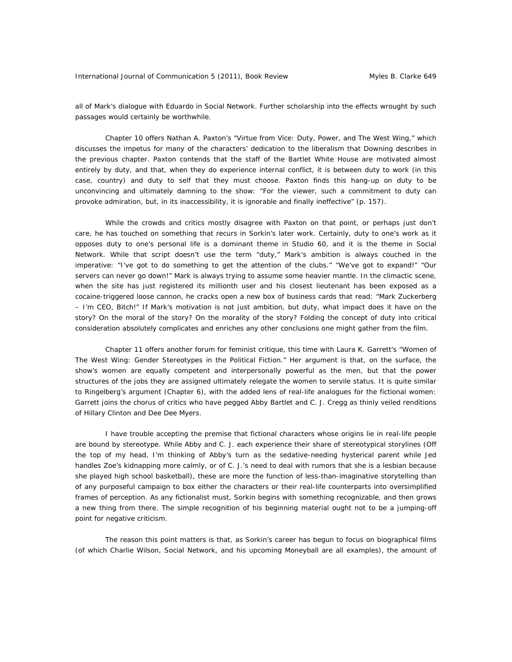all of Mark's dialogue with Eduardo in *Social Network*. Further scholarship into the effects wrought by such passages would certainly be worthwhile.

Chapter 10 offers Nathan A. Paxton's "Virtue from Vice: Duty, Power, and *The West Wing*," which discusses the impetus for many of the characters' dedication to the liberalism that Downing describes in the previous chapter. Paxton contends that the staff of the Bartlet White House are motivated almost entirely by duty, and that, when they do experience internal conflict, it is between duty to work (in this case, country) and duty to self that they must choose. Paxton finds this hang-up on duty to be unconvincing and ultimately damning to the show: "For the viewer, such a commitment to duty can provoke admiration, but, in its inaccessibility, it is ignorable and finally ineffective" (p. 157).

While the crowds and critics mostly disagree with Paxton on that point, or perhaps just don't care, he has touched on something that recurs in Sorkin's later work. Certainly, duty to one's work as it opposes duty to one's personal life is a dominant theme in *Studio 60*, and it is *the* theme in *Social Network*. While that script doesn't use the term "duty," Mark's ambition is always couched in the imperative: "I've got to do something to get the attention of the clubs." "We've got to expand!" "Our servers can never go down!" Mark is always trying to assume some heavier mantle. In the climactic scene, when the site has just registered its millionth user and his closest lieutenant has been exposed as a cocaine-triggered loose cannon, he cracks open a new box of business cards that read: "Mark Zuckerberg – I'm CEO, Bitch!" If Mark's motivation is not just ambition, but duty, what impact does it have on the story? On the moral of the story? On the morality of the story? Folding the concept of duty into critical consideration absolutely complicates and enriches any other conclusions one might gather from the film.

Chapter 11 offers another forum for feminist critique, this time with Laura K. Garrett's "Women of *The West Wing*: Gender Stereotypes in the Political Fiction." Her argument is that, on the surface, the show's women are equally competent and interpersonally powerful as the men, but that the power structures of the jobs they are assigned ultimately relegate the women to servile status. It is quite similar to Ringelberg's argument (Chapter 6), with the added lens of real-life analogues for the fictional women: Garrett joins the chorus of critics who have pegged Abby Bartlet and C. J. Cregg as thinly veiled renditions of Hillary Clinton and Dee Dee Myers.

I have trouble accepting the premise that fictional characters whose origins lie in real-life people are bound by stereotype. While Abby and C. J. each experience their share of stereotypical storylines (Off the top of my head, I'm thinking of Abby's turn as the sedative-needing hysterical parent while Jed handles Zoe's kidnapping more calmly, or of C. J.'s need to deal with rumors that she is a lesbian because she played high school basketball), these are more the function of less-than-imaginative storytelling than of any purposeful campaign to box either the characters or their real-life counterparts into oversimplified frames of perception. As any fictionalist must, Sorkin begins with something recognizable, and then grows a new thing from there. The simple recognition of his beginning material ought not to be a jumping-off point for negative criticism.

The reason this point matters is that, as Sorkin's career has begun to focus on biographical films (of which *Charlie Wilson*, *Social Network*, and his upcoming *Moneyball* are all examples), the amount of